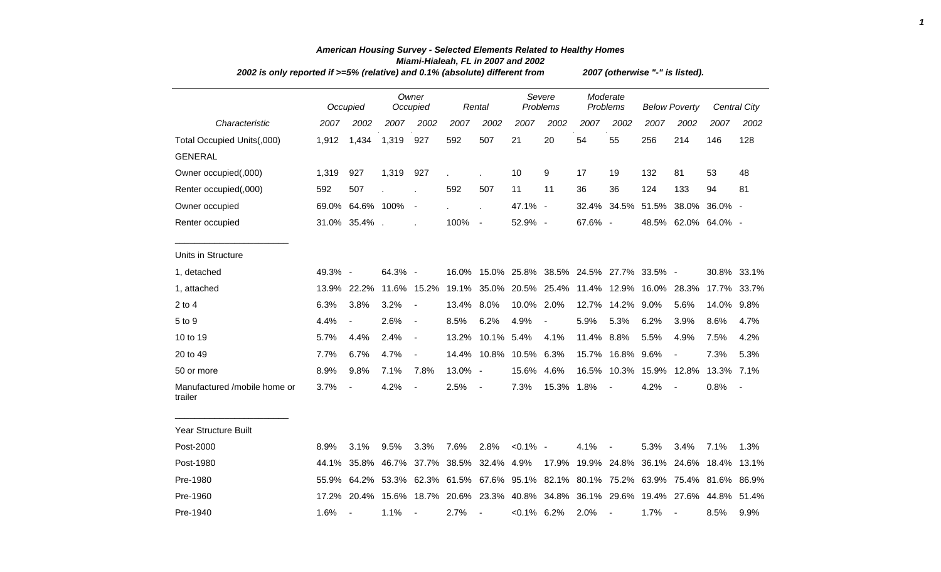| 2002 is only reported if >=5% (relative) and 0.1% (absolute) different from |         |                          |         |                          |         |                          |                    |                                                                               |                      |                          | 2007 (otherwise "-" is listed). |                          |             |                     |
|-----------------------------------------------------------------------------|---------|--------------------------|---------|--------------------------|---------|--------------------------|--------------------|-------------------------------------------------------------------------------|----------------------|--------------------------|---------------------------------|--------------------------|-------------|---------------------|
|                                                                             |         | Occupied                 |         | Owner<br>Occupied        |         | Rental                   | Severe<br>Problems |                                                                               | Moderate<br>Problems |                          | <b>Below Poverty</b>            |                          |             | <b>Central City</b> |
| Characteristic                                                              | 2007    | 2002                     | 2007    | 2002                     | 2007    | 2002                     | 2007               | 2002                                                                          | 2007                 | 2002                     | 2007                            | 2002                     | 2007        | 2002                |
| Total Occupied Units(,000)                                                  | 1,912   | 1,434                    | 1,319   | 927                      | 592     | 507                      | 21                 | 20                                                                            | 54                   | 55                       | 256                             | 214                      | 146         | 128                 |
| <b>GENERAL</b>                                                              |         |                          |         |                          |         |                          |                    |                                                                               |                      |                          |                                 |                          |             |                     |
| Owner occupied(,000)                                                        | 1,319   | 927                      | 1,319   | 927                      |         |                          | 10                 | 9                                                                             | 17                   | 19                       | 132                             | 81                       | 53          | 48                  |
| Renter occupied(,000)                                                       | 592     | 507                      |         |                          | 592     | 507                      | 11                 | 11                                                                            | 36                   | 36                       | 124                             | 133                      | 94          | 81                  |
| Owner occupied                                                              |         | 69.0% 64.6% 100%         |         | $\overline{\phantom{a}}$ |         | Ĭ.                       | 47.1% -            |                                                                               | 32.4%                | 34.5%                    | 51.5%                           | 38.0%                    | 36.0% -     |                     |
| Renter occupied                                                             |         | 31.0% 35.4%.             |         |                          | 100%    | $\overline{\phantom{a}}$ | 52.9% -            |                                                                               | 67.6% -              |                          |                                 | 48.5% 62.0% 64.0% -      |             |                     |
| Units in Structure                                                          |         |                          |         |                          |         |                          |                    |                                                                               |                      |                          |                                 |                          |             |                     |
| 1, detached                                                                 | 49.3% - |                          | 64.3% - |                          |         |                          |                    | 16.0% 15.0% 25.8% 38.5% 24.5% 27.7% 33.5% -                                   |                      |                          |                                 |                          |             | 30.8% 33.1%         |
| 1, attached                                                                 | 13.9%   | 22.2%                    |         | 11.6% 15.2%              |         |                          |                    | 19.1% 35.0% 20.5% 25.4% 11.4% 12.9% 16.0% 28.3%                               |                      |                          |                                 |                          |             | 17.7% 33.7%         |
| $2$ to $4$                                                                  | 6.3%    | 3.8%                     | 3.2%    | $\overline{\phantom{a}}$ | 13.4%   | 8.0%                     | 10.0% 2.0%         |                                                                               | 12.7%                | 14.2%                    | 9.0%                            | 5.6%                     | 14.0%       | 9.8%                |
| 5 to 9                                                                      | 4.4%    | $\overline{\phantom{a}}$ | 2.6%    | $\overline{\phantom{a}}$ | 8.5%    | 6.2%                     | 4.9%               | $\overline{\phantom{a}}$                                                      | 5.9%                 | 5.3%                     | 6.2%                            | 3.9%                     | 8.6%        | 4.7%                |
| 10 to 19                                                                    | 5.7%    | 4.4%                     | 2.4%    | $\overline{\phantom{a}}$ | 13.2%   | 10.1% 5.4%               |                    | 4.1%                                                                          | 11.4%                | 8.8%                     | 5.5%                            | 4.9%                     | 7.5%        | 4.2%                |
| 20 to 49                                                                    | 7.7%    | 6.7%                     | 4.7%    | $\overline{\phantom{a}}$ |         | 14.4% 10.8%              | 10.5%              | 6.3%                                                                          | 15.7%                | 16.8% 9.6%               |                                 | $\blacksquare$           | 7.3%        | 5.3%                |
| 50 or more                                                                  | 8.9%    | 9.8%                     | 7.1%    | 7.8%                     | 13.0% - |                          | 15.6%              | 4.6%                                                                          |                      |                          | 16.5% 10.3% 15.9% 12.8%         |                          | 13.3% 7.1%  |                     |
| Manufactured /mobile home or<br>trailer                                     | 3.7%    | $\overline{a}$           | 4.2%    | $\blacksquare$           | 2.5%    | $\blacksquare$           | 7.3%               | 15.3% 1.8%                                                                    |                      | $\blacksquare$           | 4.2%                            |                          | 0.8%        |                     |
| <b>Year Structure Built</b>                                                 |         |                          |         |                          |         |                          |                    |                                                                               |                      |                          |                                 |                          |             |                     |
| Post-2000                                                                   | 8.9%    | 3.1%                     | 9.5%    | 3.3%                     | 7.6%    | 2.8%                     | $< 0.1\%$ -        |                                                                               | 4.1%                 | $\overline{\phantom{a}}$ | 5.3%                            | 3.4%                     | 7.1%        | 1.3%                |
| Post-1980                                                                   | 44.1%   | 35.8%                    | 46.7%   | 37.7%                    |         | 38.5% 32.4% 4.9%         |                    |                                                                               | 17.9% 19.9%          | 24.8%                    | 36.1%                           |                          | 24.6% 18.4% | 13.1%               |
| Pre-1980                                                                    | 55.9%   |                          |         |                          |         |                          |                    | 64.2% 53.3% 62.3% 61.5% 67.6% 95.1% 82.1% 80.1% 75.2% 63.9% 75.4% 81.6% 86.9% |                      |                          |                                 |                          |             |                     |
| Pre-1960                                                                    | 17.2%   |                          |         |                          |         |                          |                    | 20.4% 15.6% 18.7% 20.6% 23.3% 40.8% 34.8% 36.1% 29.6% 19.4% 27.6%             |                      |                          |                                 |                          | 44.8%       | -51.4%              |
| Pre-1940                                                                    | 1.6%    | $\blacksquare$           | 1.1%    | $\blacksquare$           | 2.7%    | $\overline{\phantom{a}}$ | $<0.1\%$ 6.2%      |                                                                               | 2.0%                 | $\blacksquare$           | 1.7%                            | $\overline{\phantom{a}}$ | 8.5%        | 9.9%                |

## *American Housing Survey - Selected Elements Related to Healthy Homes Miami-Hialeah, FL in 2007 and 2002*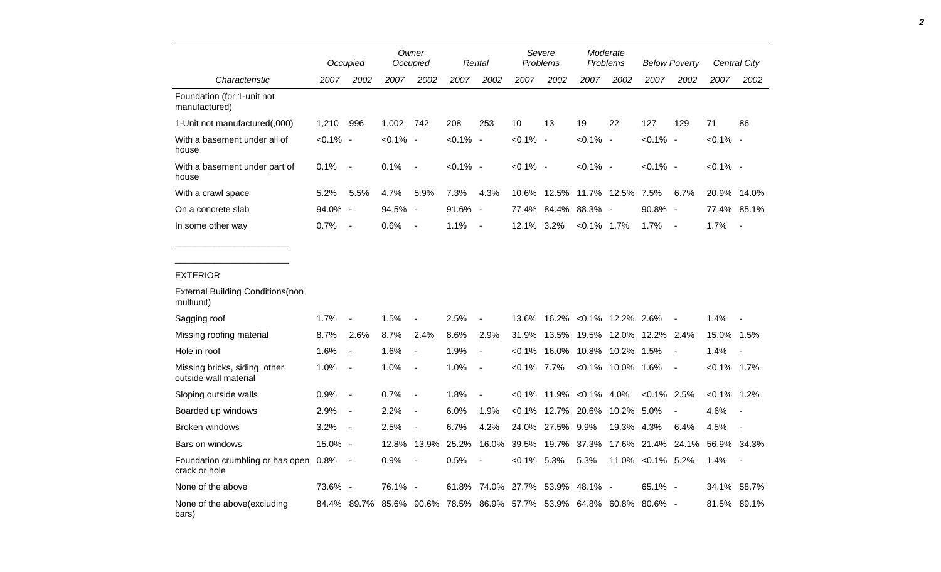|                                                        |             | Occupied                 |             | Owner<br>Occupied        |             | Rental                   | Severe<br>Problems      |                   | Moderate<br>Problems |                     | <b>Below Poverty</b> |                          | Central City   |                          |
|--------------------------------------------------------|-------------|--------------------------|-------------|--------------------------|-------------|--------------------------|-------------------------|-------------------|----------------------|---------------------|----------------------|--------------------------|----------------|--------------------------|
| Characteristic                                         | 2007        | 2002                     | 2007        | 2002                     | 2007        | 2002                     | 2007                    | 2002              | 2007                 | 2002                | 2007                 | 2002                     | 2007           | 2002                     |
| Foundation (for 1-unit not<br>manufactured)            |             |                          |             |                          |             |                          |                         |                   |                      |                     |                      |                          |                |                          |
| 1-Unit not manufactured(,000)                          | 1,210       | 996                      | 1,002       | 742                      | 208         | 253                      | 10                      | 13                | 19                   | 22                  | 127                  | 129                      | 71             | 86                       |
| With a basement under all of<br>house                  | $< 0.1\%$ - |                          | $< 0.1\%$ - |                          | $< 0.1\%$ - |                          | $< 0.1\%$ -             |                   | $< 0.1\%$ -          |                     | $< 0.1\%$ -          |                          | $< 0.1\%$ -    |                          |
| With a basement under part of<br>house                 | 0.1%        | $\overline{\phantom{a}}$ | 0.1%        | $\overline{\phantom{a}}$ | $< 0.1\%$ - |                          | $< 0.1\%$ -             |                   | $< 0.1\%$ -          |                     | $< 0.1\%$ -          |                          | $< 0.1\%$ -    |                          |
| With a crawl space                                     | 5.2%        | 5.5%                     | 4.7%        | 5.9%                     | 7.3%        | 4.3%                     |                         | 10.6% 12.5%       | 11.7% 12.5%          |                     | 7.5%                 | 6.7%                     |                | 20.9% 14.0%              |
| On a concrete slab                                     | 94.0% -     |                          | 94.5%       | $\overline{\phantom{a}}$ | 91.6%       | $\sim$                   | 77.4%                   | 84.4%             | 88.3% -              |                     | 90.8% -              |                          | 77.4%          | 85.1%                    |
| In some other way                                      | 0.7%        | $\overline{\phantom{a}}$ | 0.6%        | $\overline{\phantom{a}}$ | 1.1%        | $\overline{\phantom{a}}$ | 12.1% 3.2%              |                   | $< 0.1\%$ 1.7%       |                     | 1.7%                 | $\overline{\phantom{a}}$ | 1.7%           | $\blacksquare$           |
| <b>EXTERIOR</b>                                        |             |                          |             |                          |             |                          |                         |                   |                      |                     |                      |                          |                |                          |
| <b>External Building Conditions (non</b><br>multiunit) |             |                          |             |                          |             |                          |                         |                   |                      |                     |                      |                          |                |                          |
| Sagging roof                                           | 1.7%        | $\blacksquare$           | 1.5%        |                          | 2.5%        | $\overline{\phantom{a}}$ | 13.6%                   | 16.2%             |                      | $< 0.1\%$ 12.2%     | 2.6%                 |                          | 1.4%           |                          |
| Missing roofing material                               | 8.7%        | 2.6%                     | 8.7%        | 2.4%                     | 8.6%        | 2.9%                     | 31.9%                   | 13.5%             | 19.5%                | 12.0%               | 12.2% 2.4%           |                          | 15.0% 1.5%     |                          |
| Hole in roof                                           | 1.6%        | $\overline{\phantom{a}}$ | 1.6%        | $\overline{a}$           | 1.9%        | $\overline{\phantom{a}}$ | $< 0.1\%$               |                   | 16.0% 10.8% 10.2%    |                     | 1.5%                 |                          | 1.4%           |                          |
| Missing bricks, siding, other<br>outside wall material | 1.0%        | $\overline{\phantom{a}}$ | 1.0%        | $\overline{\phantom{a}}$ | 1.0%        | $\overline{\phantom{a}}$ | $< 0.1\%$ 7.7%          |                   |                      | $<0.1\%$ 10.0% 1.6% |                      | $\overline{\phantom{a}}$ | $< 0.1\%$ 1.7% |                          |
| Sloping outside walls                                  | 0.9%        | $\overline{\phantom{a}}$ | 0.7%        | $\overline{\phantom{a}}$ | 1.8%        | $\overline{a}$           | $< 0.1\%$               | 11.9%             | $< 0.1\%$            | 4.0%                | $< 0.1\%$            | 2.5%                     | $< 0.1\%$      | 1.2%                     |
| Boarded up windows                                     | 2.9%        | $\overline{\phantom{a}}$ | 2.2%        | $\overline{\phantom{a}}$ | 6.0%        | 1.9%                     | $< 0.1\%$               | 12.7% 20.6%       |                      | 10.2%               | 5.0%                 |                          | 4.6%           |                          |
| Broken windows                                         | 3.2%        | $\overline{a}$           | 2.5%        | $\overline{a}$           | 6.7%        | 4.2%                     | 24.0%                   | 27.5%             | 9.9%                 | 19.3%               | 4.3%                 | 6.4%                     | 4.5%           | $\overline{a}$           |
| Bars on windows                                        | 15.0% -     |                          | 12.8%       | 13.9%                    | 25.2%       | 16.0%                    | 39.5%                   | 19.7%             | 37.3%                | 17.6%               | 21.4%                | 24.1%                    | 56.9% 34.3%    |                          |
| Foundation crumbling or has open 0.8%<br>crack or hole |             | $\overline{\phantom{a}}$ | 0.9%        | $\blacksquare$           | 0.5%        |                          | $< 0.1\%$ 5.3%          |                   | 5.3%                 |                     | 11.0% < 0.1% 5.2%    |                          | 1.4%           | $\overline{\phantom{a}}$ |
| None of the above                                      | 73.6% -     |                          | 76.1%       | $\overline{\phantom{a}}$ |             |                          | 61.8% 74.0% 27.7% 53.9% |                   | 48.1%                |                     | $65.1\% -$           |                          |                | 34.1% 58.7%              |
| None of the above (excluding<br>bars)                  |             | 84.4% 89.7%              | 85.6% 90.6% |                          |             | 78.5% 86.9% 57.7%        |                         | 53.9% 64.8% 60.8% |                      |                     | 80.6% -              |                          | 81.5%          | 89.1%                    |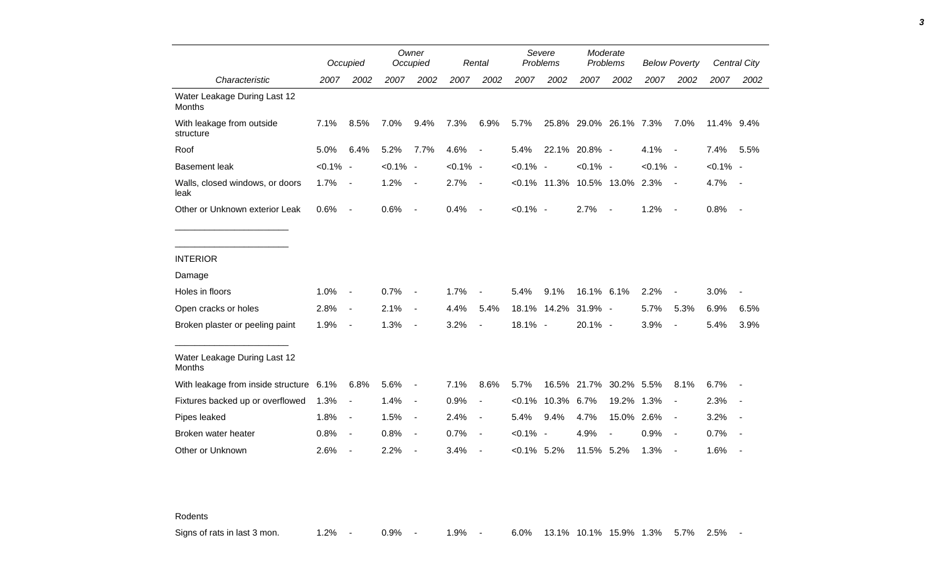|                                               |             | Occupied                     |             | Owner<br>Occupied        |             | Rental                   |                | Severe<br>Problems |                              | Moderate<br>Problems | <b>Below Poverty</b> |                          |             | <b>Central City</b> |
|-----------------------------------------------|-------------|------------------------------|-------------|--------------------------|-------------|--------------------------|----------------|--------------------|------------------------------|----------------------|----------------------|--------------------------|-------------|---------------------|
| Characteristic                                | 2007        | 2002                         | 2007        | 2002                     | 2007        | 2002                     | 2007           | 2002               | 2007                         | 2002                 | 2007                 | 2002                     | 2007        | 2002                |
| Water Leakage During Last 12<br><b>Months</b> |             |                              |             |                          |             |                          |                |                    |                              |                      |                      |                          |             |                     |
| With leakage from outside<br>structure        | 7.1%        | 8.5%                         | 7.0%        | 9.4%                     | 7.3%        | 6.9%                     | 5.7%           |                    | 25.8% 29.0% 26.1% 7.3%       |                      |                      | 7.0%                     | 11.4% 9.4%  |                     |
| Roof                                          | 5.0%        | 6.4%                         | 5.2%        | 7.7%                     | 4.6%        | $\overline{\phantom{a}}$ | 5.4%           | 22.1%              | 20.8% -                      |                      | 4.1%                 | $\sim$                   | 7.4%        | 5.5%                |
| <b>Basement leak</b>                          | $< 0.1\%$ - |                              | $< 0.1\%$ - |                          | $< 0.1\%$ - |                          | $< 0.1\%$ -    |                    | $< 0.1\%$ -                  |                      | $< 0.1\%$ -          |                          | $< 0.1\%$ - |                     |
| Walls, closed windows, or doors<br>leak       | 1.7%        | $\overline{\phantom{a}}$     | 1.2%        | $\blacksquare$           | 2.7%        | $\blacksquare$           |                |                    | <0.1% 11.3% 10.5% 13.0% 2.3% |                      |                      | $\sim$ $-$               | 4.7%        | $\sim$ $-$          |
| Other or Unknown exterior Leak                | 0.6%        | $\blacksquare$               | 0.6%        | $\blacksquare$           | 0.4%        | $\blacksquare$           | $< 0.1\%$ -    |                    | 2.7%                         | $\sim$               | 1.2%                 | $\sim$                   | 0.8%        | $\sim$              |
|                                               |             |                              |             |                          |             |                          |                |                    |                              |                      |                      |                          |             |                     |
| <b>INTERIOR</b>                               |             |                              |             |                          |             |                          |                |                    |                              |                      |                      |                          |             |                     |
| Damage                                        |             |                              |             |                          |             |                          |                |                    |                              |                      |                      |                          |             |                     |
| Holes in floors                               | 1.0%        | $\qquad \qquad \blacksquare$ | 0.7%        | $\blacksquare$           | 1.7%        |                          | 5.4%           | 9.1%               | 16.1% 6.1%                   |                      | 2.2%                 |                          | 3.0%        |                     |
| Open cracks or holes                          | 2.8%        | $\blacksquare$               | 2.1%        | $\blacksquare$           | 4.4%        | 5.4%                     |                | 18.1% 14.2%        | 31.9% -                      |                      | 5.7%                 | 5.3%                     | 6.9%        | 6.5%                |
| Broken plaster or peeling paint               | 1.9%        | $\overline{\phantom{a}}$     | 1.3%        | $\overline{\phantom{a}}$ | 3.2%        | $\blacksquare$           | 18.1% -        |                    | 20.1% -                      |                      | 3.9%                 | $\overline{\phantom{a}}$ | 5.4%        | 3.9%                |
| Water Leakage During Last 12<br><b>Months</b> |             |                              |             |                          |             |                          |                |                    |                              |                      |                      |                          |             |                     |
| With leakage from inside structure 6.1%       |             | 6.8%                         | 5.6%        | $\blacksquare$           | 7.1%        | 8.6%                     | 5.7%           |                    | 16.5% 21.7%                  | 30.2% 5.5%           |                      | 8.1%                     | 6.7%        |                     |
| Fixtures backed up or overflowed              | 1.3%        | $\overline{\phantom{a}}$     | 1.4%        | $\overline{\phantom{a}}$ | 0.9%        | $\blacksquare$           | $< 0.1\%$      | 10.3%              | 6.7%                         | 19.2% 1.3%           |                      | $\blacksquare$           | 2.3%        |                     |
| Pipes leaked                                  | 1.8%        | $\blacksquare$               | 1.5%        | $\blacksquare$           | 2.4%        | $\overline{\phantom{a}}$ | 5.4%           | 9.4%               | 4.7%                         | 15.0% 2.6%           |                      | $\sim$                   | 3.2%        |                     |
| Broken water heater                           | 0.8%        | $\overline{\phantom{a}}$     | 0.8%        | $\blacksquare$           | 0.7%        | $\blacksquare$           | $< 0.1\%$ -    |                    | 4.9%                         | $\blacksquare$       | 0.9%                 | $\sim$                   | 0.7%        |                     |
| Other or Unknown                              | 2.6%        | $\overline{\phantom{a}}$     | 2.2%        |                          | 3.4%        |                          | $< 0.1\%$ 5.2% |                    | 11.5% 5.2%                   |                      | 1.3%                 | $\overline{\phantom{a}}$ | 1.6%        |                     |

Rodents

Signs of rats in last 3 mon. 4.2% - 0.9% - 1.9% - 6.0% 13.1% 10.1% 15.9% 1.3% 5.7% 2.5% -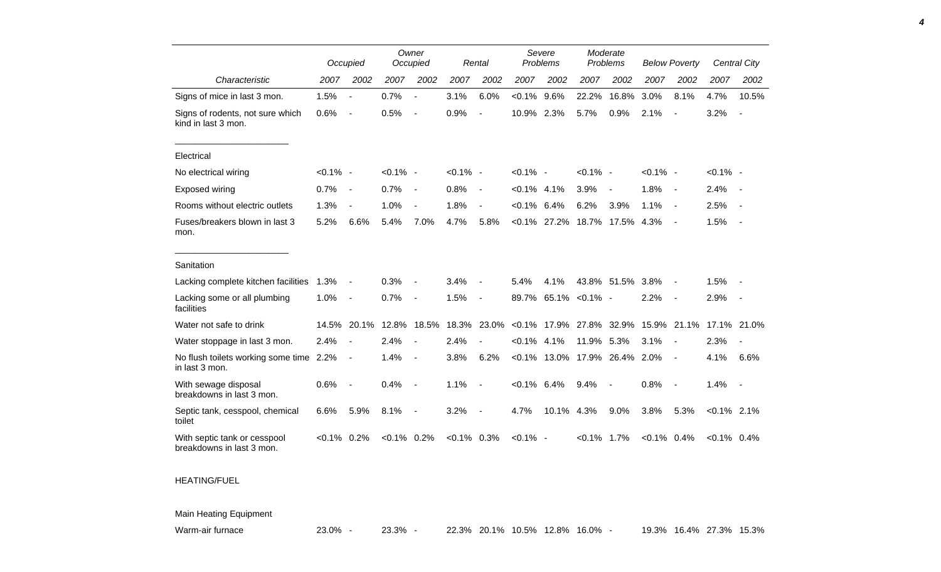|                                                           |                | Occupied                 |                | Owner<br>Occupied        |             | Rental                       | Severe<br>Problems |       | Moderate<br>Problems |                          | <b>Below Poverty</b> |                          |                | Central City             |
|-----------------------------------------------------------|----------------|--------------------------|----------------|--------------------------|-------------|------------------------------|--------------------|-------|----------------------|--------------------------|----------------------|--------------------------|----------------|--------------------------|
| Characteristic                                            | 2007           | 2002                     | 2007           | 2002                     | 2007        | 2002                         | 2007               | 2002  | 2007                 | 2002                     | 2007                 | 2002                     | 2007           | 2002                     |
| Signs of mice in last 3 mon.                              | 1.5%           | $\blacksquare$           | 0.7%           |                          | 3.1%        | 6.0%                         | $< 0.1\%$          | 9.6%  | 22.2%                | 16.8%                    | 3.0%                 | 8.1%                     | 4.7%           | 10.5%                    |
| Signs of rodents, not sure which<br>kind in last 3 mon.   | 0.6%           | $\blacksquare$           | 0.5%           | $\sim$                   | 0.9%        | $\overline{a}$               | 10.9%              | 2.3%  | 5.7%                 | 0.9%                     | 2.1%                 |                          | 3.2%           | $\overline{\phantom{a}}$ |
| Electrical                                                |                |                          |                |                          |             |                              |                    |       |                      |                          |                      |                          |                |                          |
| No electrical wiring                                      | $< 0.1\%$ -    |                          | $< 0.1\%$ -    |                          | $< 0.1\%$ - |                              | $< 0.1\%$ -        |       | $< 0.1\%$ -          |                          | $< 0.1\%$ -          |                          | $< 0.1\%$ -    |                          |
| Exposed wiring                                            | 0.7%           | $\overline{\phantom{a}}$ | 0.7%           | $\overline{\phantom{a}}$ | 0.8%        | $\blacksquare$               | $< 0.1\%$ 4.1%     |       | 3.9%                 | $\overline{\phantom{a}}$ | 1.8%                 | $\overline{\phantom{a}}$ | 2.4%           | $\sim$                   |
| Rooms without electric outlets                            | 1.3%           | Ĭ.                       | 1.0%           |                          | 1.8%        |                              | $< 0.1\%$          | 6.4%  | 6.2%                 | 3.9%                     | 1.1%                 | $\overline{\phantom{a}}$ | 2.5%           |                          |
| Fuses/breakers blown in last 3<br>mon.                    | 5.2%           | 6.6%                     | 5.4%           | 7.0%                     | 4.7%        | 5.8%                         | $< 0.1\%$          | 27.2% | 18.7%                | 17.5% 4.3%               |                      | $\overline{\phantom{a}}$ | 1.5%           | $\overline{\phantom{a}}$ |
| Sanitation                                                |                |                          |                |                          |             |                              |                    |       |                      |                          |                      |                          |                |                          |
| Lacking complete kitchen facilities                       | 1.3%           |                          | 0.3%           |                          | 3.4%        |                              | 5.4%               | 4.1%  |                      | 43.8% 51.5%              | 3.8%                 |                          | 1.5%           |                          |
| Lacking some or all plumbing<br>facilities                | 1.0%           | $\overline{\phantom{a}}$ | 0.7%           |                          | 1.5%        | $\overline{\phantom{a}}$     | 89.7%              |       | $65.1\%$ < 0.1% -    |                          | 2.2%                 |                          | 2.9%           |                          |
| Water not safe to drink                                   | 14.5%          | 20.1%                    | 12.8%          | 18.5%                    | 18.3%       | 23.0%                        | $< 0.1\%$          | 17.9% | 27.8%                | 32.9%                    | 15.9%                | 21.1%                    |                | 17.1% 21.0%              |
| Water stoppage in last 3 mon.                             | 2.4%           | $\overline{\phantom{a}}$ | 2.4%           |                          | 2.4%        |                              | $< 0.1\%$          | 4.1%  | 11.9%                | 5.3%                     | 3.1%                 |                          | 2.3%           |                          |
| No flush toilets working some time<br>in last 3 mon.      | 2.2%           | $\blacksquare$           | 1.4%           | $\overline{\phantom{a}}$ | 3.8%        | 6.2%                         | $< 0.1\%$          | 13.0% |                      | 17.9% 26.4% 2.0%         |                      | $\overline{\phantom{a}}$ | 4.1%           | 6.6%                     |
| With sewage disposal<br>breakdowns in last 3 mon.         | 0.6%           | $\overline{\phantom{a}}$ | 0.4%           | $\overline{a}$           | 1.1%        | $\blacksquare$               | $< 0.1\%$ 6.4%     |       | 9.4%                 | $\overline{\phantom{a}}$ | 0.8%                 | $\overline{\phantom{a}}$ | 1.4%           | $\sim$                   |
| Septic tank, cesspool, chemical<br>toilet                 | 6.6%           | 5.9%                     | 8.1%           | $\overline{a}$           | 3.2%        | $\qquad \qquad \blacksquare$ | 4.7%               | 10.1% | 4.3%                 | 9.0%                     | 3.8%                 | 5.3%                     | $< 0.1\%$ 2.1% |                          |
| With septic tank or cesspool<br>breakdowns in last 3 mon. | $< 0.1\%$ 0.2% |                          | $< 0.1\%$ 0.2% |                          | $< 0.1\%$   | 0.3%                         | $< 0.1\%$ -        |       | $< 0.1\%$ 1.7%       |                          | $< 0.1\%$ 0.4%       |                          | $< 0.1\%$ 0.4% |                          |

## HEATING/FUEL

Main Heating Equipment

Warm-air furnace 23.0% - 23.3% - 22.3% 20.1% 10.5% 12.8% 16.0% - 19.3% 16.4% 27.3% 15.3%

*4*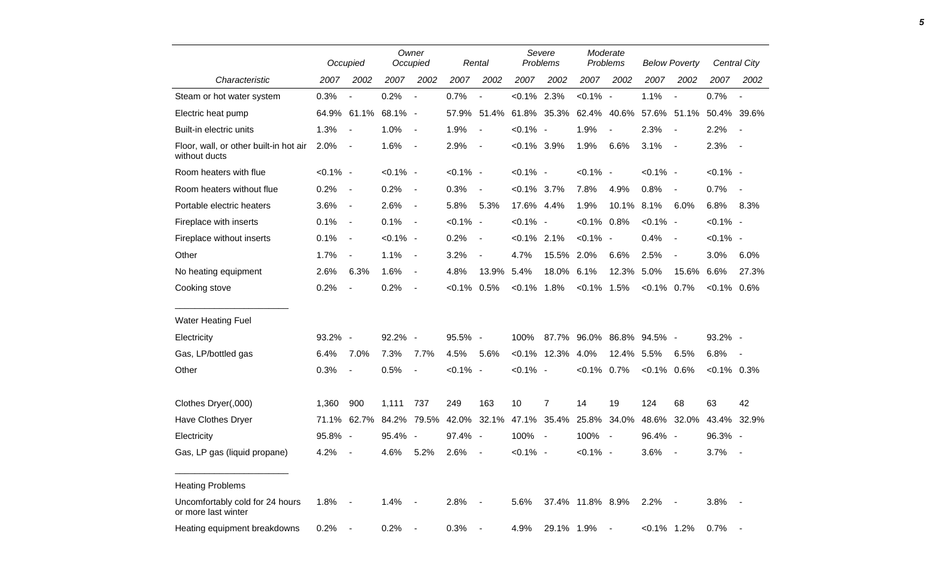|                                                         |             | Occupied                 |                                                             | Owner<br>Occupied        |               | Rental         |                | Severe<br>Problems   |                                                 | Moderate<br>Problems |                | <b>Below Poverty</b> |                | <b>Central City</b>      |
|---------------------------------------------------------|-------------|--------------------------|-------------------------------------------------------------|--------------------------|---------------|----------------|----------------|----------------------|-------------------------------------------------|----------------------|----------------|----------------------|----------------|--------------------------|
| Characteristic                                          | 2007        | 2002                     | 2007                                                        | 2002                     | 2007          | 2002           | 2007           | 2002                 | 2007                                            | 2002                 | 2007           | 2002                 | 2007           | 2002                     |
| Steam or hot water system                               | 0.3%        | $\blacksquare$           | 0.2%                                                        | $\overline{\phantom{a}}$ | 0.7%          | $\blacksquare$ | $< 0.1\%$ 2.3% |                      | $< 0.1\%$ -                                     |                      | 1.1%           | $\blacksquare$       | 0.7%           | $\blacksquare$           |
| Electric heat pump                                      |             |                          | 64.9% 61.1% 68.1% -                                         |                          |               |                |                |                      | 57.9% 51.4% 61.8% 35.3% 62.4% 40.6% 57.6% 51.1% |                      |                |                      |                | 50.4% 39.6%              |
| Built-in electric units                                 | 1.3%        | $\sim$ $-$               | 1.0%                                                        | $\sim$                   | 1.9%          | $\sim$         | $< 0.1\%$ -    |                      | 1.9%                                            | $\blacksquare$       | 2.3%           | $\sim$ $-$           | 2.2%           | $\blacksquare$           |
| Floor, wall, or other built-in hot air<br>without ducts | 2.0%        | $\sim$ $-$               | 1.6%                                                        | $\sim$ $-$               | 2.9%          | $\sim$         | $< 0.1\%$ 3.9% |                      | 1.9%                                            | 6.6%                 | 3.1%           | $\sim$               | 2.3%           | $\overline{\phantom{a}}$ |
| Room heaters with flue                                  | $< 0.1\%$ - |                          | $< 0.1\%$ -                                                 |                          | $< 0.1\%$ -   |                | $< 0.1\%$ -    |                      | $< 0.1\%$ -                                     |                      | $< 0.1\%$ -    |                      | $< 0.1\%$ -    |                          |
| Room heaters without flue                               | 0.2%        | $\sim$ $-$               | 0.2%                                                        | $\blacksquare$           | 0.3%          | $\sim$         | $< 0.1\%$ 3.7% |                      | 7.8%                                            | 4.9%                 | 0.8%           | $\blacksquare$       | 0.7%           | $\blacksquare$           |
| Portable electric heaters                               | 3.6%        | $\sim$ $-$               | 2.6%                                                        | $\blacksquare$           | 5.8%          | 5.3%           | 17.6% 4.4%     |                      | 1.9%                                            | 10.1% 8.1%           |                | 6.0%                 | 6.8%           | 8.3%                     |
| Fireplace with inserts                                  | 0.1%        | $\sim$ $-$               | 0.1%                                                        | $\sim$ $-$               | $< 0.1\%$ -   |                | $< 0.1\%$ -    |                      | $< 0.1\%$ 0.8%                                  |                      | $< 0.1\%$ -    |                      | $< 0.1\%$ -    |                          |
| Fireplace without inserts                               | 0.1%        | $\sim$                   | $< 0.1\%$ -                                                 |                          | 0.2%          | $\sim$         | $< 0.1\%$ 2.1% |                      | $< 0.1\%$ -                                     |                      | 0.4%           | $\sim$               | $< 0.1\%$ -    |                          |
| Other                                                   | 1.7%        | $\blacksquare$           | 1.1%                                                        | $\sim$ $-$               | 3.2%          | $\blacksquare$ | 4.7%           | 15.5% 2.0%           |                                                 | 6.6%                 | 2.5%           | $\blacksquare$       | 3.0%           | 6.0%                     |
| No heating equipment                                    | 2.6%        | 6.3%                     | 1.6%                                                        | $\blacksquare$           | 4.8%          | 13.9% 5.4%     |                | 18.0% 6.1%           |                                                 | 12.3% 5.0%           |                | 15.6%                | $6.6\%$        | 27.3%                    |
| Cooking stove                                           | 0.2%        | $\blacksquare$           | 0.2%                                                        | $\blacksquare$           | $<0.1\%$ 0.5% |                | $< 0.1\%$ 1.8% |                      | $< 0.1\%$ 1.5%                                  |                      | $< 0.1\%$ 0.7% |                      | $<0.1\%$ 0.6%  |                          |
| <b>Water Heating Fuel</b>                               |             |                          |                                                             |                          |               |                |                |                      |                                                 |                      |                |                      |                |                          |
| Electricity                                             | 93.2% -     |                          | 92.2% -                                                     |                          | 95.5% -       |                |                |                      | 100% 87.7% 96.0% 86.8% 94.5% -                  |                      |                |                      | 93.2% -        |                          |
| Gas, LP/bottled gas                                     | 6.4%        | 7.0%                     | 7.3%                                                        | 7.7%                     | 4.5%          | 5.6%           |                | $< 0.1\%$ 12.3% 4.0% |                                                 | 12.4% 5.5%           |                | 6.5%                 | 6.8%           | $\sim$                   |
| Other                                                   | 0.3%        | $\overline{\phantom{a}}$ | 0.5%                                                        | $\blacksquare$           | $< 0.1\%$ -   |                | $< 0.1\%$ -    |                      | $< 0.1\%$ 0.7%                                  |                      | $< 0.1\%$ 0.6% |                      | $< 0.1\%$ 0.3% |                          |
| Clothes Dryer(,000)                                     | 1,360       | 900                      | 1,111 737                                                   |                          | 249           | 163            | 10             | 7                    | 14                                              | 19                   | 124            | 68                   | 63             | 42                       |
| Have Clothes Dryer                                      |             |                          | 71.1% 62.7% 84.2% 79.5% 42.0% 32.1% 47.1% 35.4% 25.8% 34.0% |                          |               |                |                |                      |                                                 |                      |                | 48.6% 32.0%          |                | 43.4% 32.9%              |
| Electricity                                             | 95.8% -     |                          | 95.4% -                                                     |                          | 97.4% -       |                | 100% -         |                      | 100% -                                          |                      | 96.4% -        |                      | 96.3% -        |                          |
| Gas, LP gas (liquid propane)                            | 4.2%        | $\sim$ $-$               | 4.6% 5.2%                                                   |                          | $2.6\%$ -     |                | $< 0.1\%$ -    |                      | $< 0.1\%$ -                                     |                      | $3.6\%$ -      |                      | $3.7\%$ -      |                          |
| <b>Heating Problems</b>                                 |             |                          |                                                             |                          |               |                |                |                      |                                                 |                      |                |                      |                |                          |
| Uncomfortably cold for 24 hours<br>or more last winter  | 1.8%        | $\sim$ $-$               | $1.4\%$ -                                                   |                          | 2.8%          | $\sim$ $-$     | 5.6%           |                      | 37.4% 11.8% 8.9%                                |                      | $2.2\%$        |                      | $3.8\%$ -      |                          |
| Heating equipment breakdowns                            | 0.2%        | $\sim$                   | $0.2\%$ -                                                   |                          | 0.3%          |                | 4.9%           | 29.1% 1.9%           |                                                 |                      | $< 0.1\%$ 1.2% |                      | 0.7%           |                          |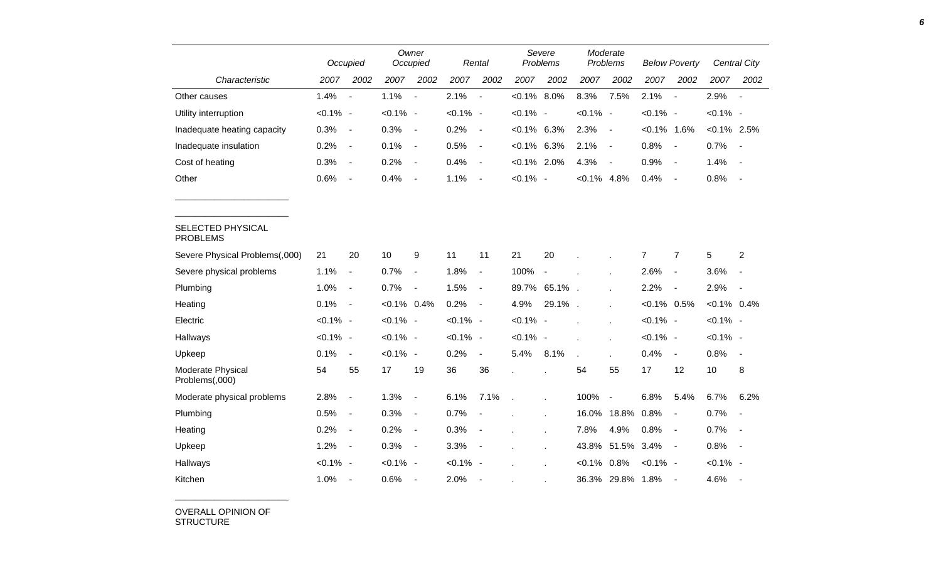|                                      |             | Occupied                     |                | Owner<br>Occupied            |             | Rental                   |                | Severe<br>Problems |              | Moderate<br>Problems     |                | <b>Below Poverty</b>     |                | Central City   |
|--------------------------------------|-------------|------------------------------|----------------|------------------------------|-------------|--------------------------|----------------|--------------------|--------------|--------------------------|----------------|--------------------------|----------------|----------------|
| Characteristic                       | 2007        | 2002                         | 2007           | 2002                         | 2007        | 2002                     | 2007           | 2002               | 2007         | 2002                     | 2007           | 2002                     | 2007           | 2002           |
| Other causes                         | 1.4%        |                              | 1.1%           | $\blacksquare$               | 2.1%        | $\blacksquare$           | $< 0.1\%$ 8.0% |                    | 8.3%         | 7.5%                     | 2.1%           | $\overline{\phantom{a}}$ | 2.9%           | $\blacksquare$ |
| Utility interruption                 | $< 0.1\%$ - |                              | $< 0.1\%$ -    |                              | $< 0.1\%$ - |                          | $< 0.1\%$ -    |                    | $< 0.1\%$ -  |                          | $< 0.1\%$ -    |                          | $< 0.1\%$ -    |                |
| Inadequate heating capacity          | 0.3%        | $\blacksquare$               | 0.3%           | $\overline{\phantom{a}}$     | 0.2%        | $\blacksquare$           | $< 0.1\%$      | 6.3%               | 2.3%         | $\overline{\phantom{a}}$ | $< 0.1\%$ 1.6% |                          | $< 0.1\%$ 2.5% |                |
| Inadequate insulation                | 0.2%        | $\overline{\phantom{a}}$     | 0.1%           | $\blacksquare$               | 0.5%        | $\blacksquare$           | $< 0.1\%$      | 6.3%               | 2.1%         | $\overline{\phantom{a}}$ | 0.8%           | $\blacksquare$           | 0.7%           | $\sim$         |
| Cost of heating                      | 0.3%        | $\overline{\phantom{a}}$     | 0.2%           | $\blacksquare$               | 0.4%        | $\blacksquare$           | $< 0.1\%$ 2.0% |                    | 4.3%         | $\blacksquare$           | 0.9%           | $\blacksquare$           | 1.4%           | $\sim$         |
| Other                                | 0.6%        | $\overline{\phantom{a}}$     | 0.4%           | $\blacksquare$               | 1.1%        | $\overline{\phantom{a}}$ | $< 0.1\%$ -    |                    | $< 0.1\%$    | 4.8%                     | 0.4%           | $\blacksquare$           | 0.8%           | $\sim$         |
|                                      |             |                              |                |                              |             |                          |                |                    |              |                          |                |                          |                |                |
| SELECTED PHYSICAL<br><b>PROBLEMS</b> |             |                              |                |                              |             |                          |                |                    |              |                          |                |                          |                |                |
| Severe Physical Problems(,000)       | 21          | 20                           | 10             | 9                            | 11          | 11                       | 21             | 20                 |              |                          | $\overline{7}$ | $\overline{7}$           | 5              | $\overline{2}$ |
| Severe physical problems             | 1.1%        | $\qquad \qquad \blacksquare$ | 0.7%           | $\blacksquare$               | 1.8%        | $\blacksquare$           | 100%           | $\blacksquare$     |              |                          | 2.6%           | $\blacksquare$           | 3.6%           |                |
| Plumbing                             | 1.0%        | $\overline{\phantom{a}}$     | 0.7%           | $\blacksquare$               | 1.5%        | $\blacksquare$           | 89.7%          | 65.1%              | $\mathbf{r}$ |                          | 2.2%           | $\blacksquare$           | 2.9%           | $\sim$         |
| Heating                              | 0.1%        | $\overline{\phantom{a}}$     | $< 0.1\%$ 0.4% |                              | 0.2%        | $\blacksquare$           | 4.9%           | 29.1%              | $\mathbf{r}$ | $\mathbf{r}$             | $< 0.1\%$ 0.5% |                          | $< 0.1\%$ 0.4% |                |
| Electric                             | $< 0.1\%$ - |                              | $< 0.1\%$ -    |                              | $< 0.1\%$ - |                          | $< 0.1\%$ -    |                    |              |                          | $< 0.1\%$ -    |                          | $< 0.1\%$ -    |                |
| Hallways                             | $< 0.1\%$ - |                              | $< 0.1\%$ -    |                              | $< 0.1\%$ - |                          | $< 0.1\%$ -    |                    |              |                          | $< 0.1\%$ -    |                          | $< 0.1\%$ -    |                |
| Upkeep                               | 0.1%        | $\blacksquare$               | $< 0.1\%$ -    |                              | 0.2%        | $\blacksquare$           | 5.4%           | 8.1%               |              |                          | 0.4%           | $\blacksquare$           | 0.8%           | $\sim$         |
| Moderate Physical<br>Problems(,000)  | 54          | 55                           | 17             | 19                           | 36          | 36                       |                |                    | 54           | 55                       | 17             | 12                       | 10             | 8              |
| Moderate physical problems           | 2.8%        | $\qquad \qquad \blacksquare$ | 1.3%           | $\overline{\phantom{a}}$     | 6.1%        | 7.1%                     |                |                    | 100%         | $\overline{\phantom{a}}$ | 6.8%           | 5.4%                     | 6.7%           | 6.2%           |
| Plumbing                             | 0.5%        | $\blacksquare$               | 0.3%           | $\blacksquare$               | 0.7%        |                          |                |                    | 16.0%        | 18.8%                    | 0.8%           | $\blacksquare$           | 0.7%           | $\sim$         |
| Heating                              | 0.2%        | $\blacksquare$               | 0.2%           | $\qquad \qquad \blacksquare$ | 0.3%        | $\overline{\phantom{a}}$ |                |                    | 7.8%         | 4.9%                     | 0.8%           | $\blacksquare$           | 0.7%           |                |
| Upkeep                               | 1.2%        | $\overline{\phantom{a}}$     | 0.3%           | $\overline{\phantom{a}}$     | 3.3%        | $\overline{\phantom{a}}$ |                | $\mathbf{r}$       | 43.8%        | 51.5%                    | 3.4%           | $\blacksquare$           | 0.8%           | $\sim$         |
| Hallways                             | $< 0.1\%$ - |                              | $< 0.1\%$ -    |                              | $< 0.1\%$ - |                          |                |                    | $< 0.1\%$    | 0.8%                     | $< 0.1\%$ -    |                          | $< 0.1\%$ -    |                |
| Kitchen                              | 1.0%        | $\overline{\phantom{a}}$     | 0.6%           | $\overline{\phantom{a}}$     | 2.0%        | $\overline{\phantom{a}}$ |                |                    | 36.3%        | 29.8% 1.8%               |                |                          | 4.6%           |                |

OVERALL OPINION OF STRUCTURE

\_\_\_\_\_\_\_\_\_\_\_\_\_\_\_\_\_\_\_\_\_\_\_